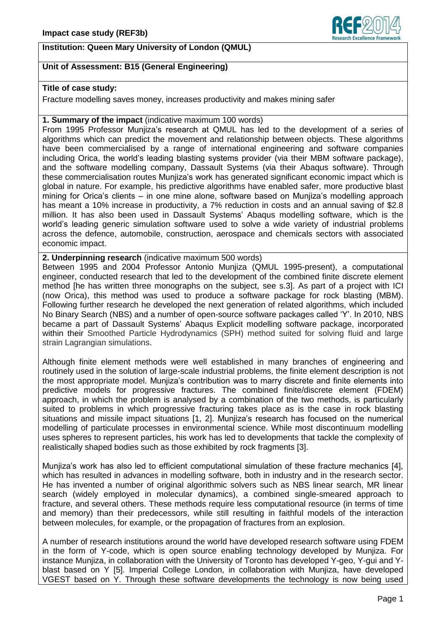## **Institution: Queen Mary University of London (QMUL)**



## **Unit of Assessment: B15 (General Engineering)**

#### **Title of case study:**

Fracture modelling saves money, increases productivity and makes mining safer

#### **1. Summary of the impact** (indicative maximum 100 words)

From 1995 Professor Munjiza's research at QMUL has led to the development of a series of algorithms which can predict the movement and relationship between objects. These algorithms have been commercialised by a range of international engineering and software companies including Orica, the world's leading blasting systems provider (via their MBM software package), and the software modelling company, Dassault Systems (via their Abaqus software). Through these commercialisation routes Munjiza's work has generated significant economic impact which is global in nature. For example, his predictive algorithms have enabled safer, more productive blast mining for Orica's clients – in one mine alone, software based on Munjiza's modelling approach has meant a 10% increase in productivity, a 7% reduction in costs and an annual saving of \$2.8 million. It has also been used in Dassault Systems' Abaqus modelling software, which is the world's leading generic simulation software used to solve a wide variety of industrial problems across the defence, automobile, construction, aerospace and chemicals sectors with associated economic impact.

#### **2. Underpinning research** (indicative maximum 500 words)

Between 1995 and 2004 Professor Antonio Munjiza (QMUL 1995-present), a computational engineer, conducted research that led to the development of the combined finite discrete element method [he has written three monographs on the subject, see s.3]. As part of a project with ICI (now Orica), this method was used to produce a software package for rock blasting (MBM). Following further research he developed the next generation of related algorithms, which included No Binary Search (NBS) and a number of open-source software packages called 'Y'. In 2010, NBS became a part of Dassault Systems' Abaqus Explicit modelling software package, incorporated within their Smoothed Particle Hydrodynamics (SPH) method suited for solving fluid and large strain Lagrangian simulations.

Although finite element methods were well established in many branches of engineering and routinely used in the solution of large-scale industrial problems, the finite element description is not the most appropriate model. Munjiza's contribution was to marry discrete and finite elements into predictive models for progressive fractures. The combined finite/discrete element (FDEM) approach, in which the problem is analysed by a combination of the two methods, is particularly suited to problems in which progressive fracturing takes place as is the case in rock blasting situations and missile impact situations [1, 2]. Munjiza's research has focused on the numerical modelling of particulate processes in environmental science. While most discontinuum modelling uses spheres to represent particles, his work has led to developments that tackle the complexity of realistically shaped bodies such as those exhibited by rock fragments [3].

Munjiza's work has also led to efficient computational simulation of these fracture mechanics [4], which has resulted in advances in modelling software, both in industry and in the research sector. He has invented a number of original algorithmic solvers such as NBS linear search, MR linear search (widely employed in molecular dynamics), a combined single-smeared approach to fracture, and several others. These methods require less computational resource (in terms of time and memory) than their predecessors, while still resulting in faithful models of the interaction between molecules, for example, or the propagation of fractures from an explosion.

A number of research institutions around the world have developed research software using FDEM in the form of Y-code, which is open source enabling technology developed by Munjiza. For instance Munjiza, in collaboration with the University of Toronto has developed Y-geo, Y-gui and Yblast based on Y [5]. Imperial College London, in collaboration with Munjiza, have developed VGEST based on Y. Through these software developments the technology is now being used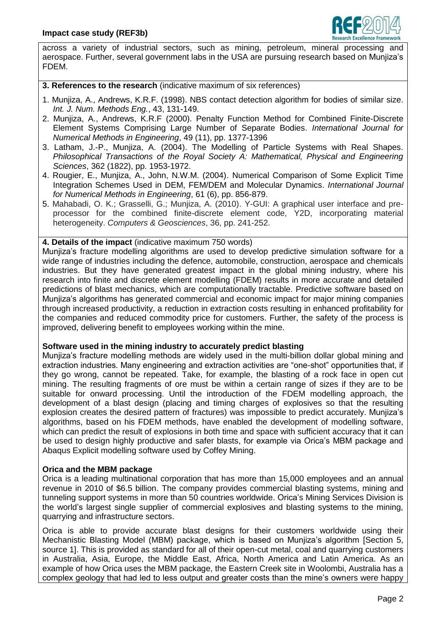

across a variety of industrial sectors, such as mining, petroleum, mineral processing and aerospace. Further, several government labs in the USA are pursuing research based on Munjiza's FDEM.

**3. References to the research** (indicative maximum of six references)

- 1. Munjiza, A., Andrews, K.R.F. (1998). NBS contact detection algorithm for bodies of similar size. *Int. J. Num. Methods Eng.*, 43, 131-149.
- 2. Munjiza, A., Andrews, K.R.F (2000). Penalty Function Method for Combined Finite-Discrete Element Systems Comprising Large Number of Separate Bodies. *International Journal for Numerical Methods in Engineering*, 49 (11), pp. 1377-1396
- 3. Latham, J.-P., Munjiza, A. (2004). The Modelling of Particle Systems with Real Shapes. *Philosophical Transactions of the Royal Society A: Mathematical, Physical and Engineering Sciences*, 362 (1822), pp. 1953-1972.
- 4. Rougier, E., Munjiza, A., John, N.W.M. (2004). Numerical Comparison of Some Explicit Time Integration Schemes Used in DEM, FEM/DEM and Molecular Dynamics. *International Journal for Numerical Methods in Engineering*, 61 (6), pp. 856-879.
- 5. Mahabadi, O. K.; Grasselli, G.; Munjiza, A. (2010). Y-GUI: A graphical user interface and preprocessor for the combined finite-discrete element code, Y2D, incorporating material heterogeneity. *Computers & Geosciences*, 36, pp. 241-252.

**4. Details of the impact** (indicative maximum 750 words)

Munjiza's fracture modelling algorithms are used to develop predictive simulation software for a wide range of industries including the defence, automobile, construction, aerospace and chemicals industries. But they have generated greatest impact in the global mining industry, where his research into finite and discrete element modelling (FDEM) results in more accurate and detailed predictions of blast mechanics, which are computationally tractable. Predictive software based on Munjiza's algorithms has generated commercial and economic impact for major mining companies through increased productivity, a reduction in extraction costs resulting in enhanced profitability for the companies and reduced commodity price for customers. Further, the safety of the process is improved, delivering benefit to employees working within the mine.

## **Software used in the mining industry to accurately predict blasting**

Munjiza's fracture modelling methods are widely used in the multi-billion dollar global mining and extraction industries. Many engineering and extraction activities are "one-shot" opportunities that, if they go wrong, cannot be repeated. Take, for example, the blasting of a rock face in open cut mining. The resulting fragments of ore must be within a certain range of sizes if they are to be suitable for onward processing. Until the introduction of the FDEM modelling approach, the development of a blast design (placing and timing charges of explosives so that the resulting explosion creates the desired pattern of fractures) was impossible to predict accurately. Munjiza's algorithms, based on his FDEM methods, have enabled the development of modelling software, which can predict the result of explosions in both time and space with sufficient accuracy that it can be used to design highly productive and safer blasts, for example via Orica's MBM package and Abaqus Explicit modelling software used by Coffey Mining.

## **Orica and the MBM package**

Orica is a leading multinational corporation that has more than 15,000 employees and an annual revenue in 2010 of \$6.5 billion. The company provides commercial blasting systems, mining and tunneling support systems in more than 50 countries worldwide. Orica's Mining Services Division is the world's largest single supplier of commercial explosives and blasting systems to the mining, quarrying and infrastructure sectors.

Orica is able to provide accurate blast designs for their customers worldwide using their Mechanistic Blasting Model (MBM) package, which is based on Munjiza's algorithm [Section 5, source 1]. This is provided as standard for all of their open-cut metal, coal and quarrying customers in Australia, Asia, Europe, the Middle East, Africa, North America and Latin America. As an example of how Orica uses the MBM package, the Eastern Creek site in Woolombi, Australia has a complex geology that had led to less output and greater costs than the mine's owners were happy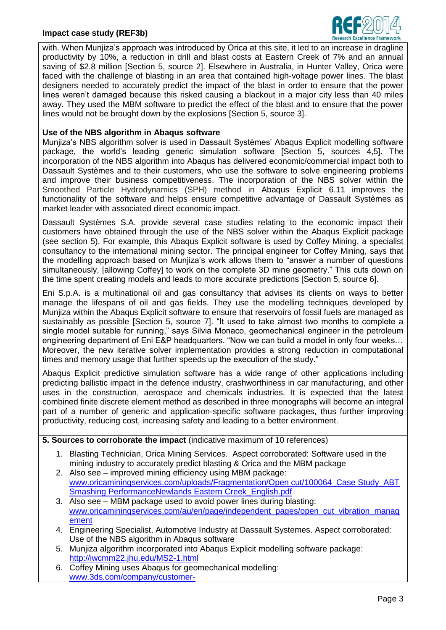## **Impact case study (REF3b)**



with. When Munjiza's approach was introduced by Orica at this site, it led to an increase in dragline productivity by 10%, a reduction in drill and blast costs at Eastern Creek of 7% and an annual saving of \$2.8 million [Section 5, source 2]. Elsewhere in Australia, in Hunter Valley, Orica were faced with the challenge of blasting in an area that contained high-voltage power lines. The blast designers needed to accurately predict the impact of the blast in order to ensure that the power lines weren't damaged because this risked causing a blackout in a major city less than 40 miles away. They used the MBM software to predict the effect of the blast and to ensure that the power lines would not be brought down by the explosions [Section 5, source 3].

#### **Use of the NBS algorithm in Abaqus software**

Munjiza's NBS algorithm solver is used in Dassault Systèmes' Abaqus Explicit modelling software package, the world's leading generic simulation software [Section 5, sources 4,5]. The incorporation of the NBS algorithm into Abaqus has delivered economic/commercial impact both to Dassault Systèmes and to their customers, who use the software to solve engineering problems and improve their business competitiveness. The incorporation of the NBS solver within the Smoothed Particle Hydrodynamics (SPH) method in Abaqus Explicit 6.11 improves the functionality of the software and helps ensure competitive advantage of Dassault Systèmes as market leader with associated direct economic impact.

Dassault Systèmes S.A. provide several case studies relating to the economic impact their customers have obtained through the use of the NBS solver within the Abaqus Explicit package (see section 5). For example, this Abaqus Explicit software is used by Coffey Mining, a specialist consultancy to the international mining sector. The principal engineer for Coffey Mining, says that the modelling approach based on Munjiza's work allows them to "answer a number of questions simultaneously, [allowing Coffey] to work on the complete 3D mine geometry." This cuts down on the time spent creating models and leads to more accurate predictions [Section 5, source 6].

Eni S.p.A. is a multinational oil and gas consultancy that advises its clients on ways to better manage the lifespans of oil and gas fields. They use the modelling techniques developed by Munjiza within the Abaqus Explicit software to ensure that reservoirs of fossil fuels are managed as sustainably as possible [Section 5, source 7]. "It used to take almost two months to complete a single model suitable for running," says Silvia Monaco, geomechanical engineer in the petroleum engineering department of Eni E&P headquarters. "Now we can build a model in only four weeks… Moreover, the new iterative solver implementation provides a strong reduction in computational times and memory usage that further speeds up the execution of the study."

Abaqus Explicit predictive simulation software has a wide range of other applications including predicting ballistic impact in the defence industry, crashworthiness in car manufacturing, and other uses in the construction, aerospace and chemicals industries. It is expected that the latest combined finite discrete element method as described in three monographs will become an integral part of a number of generic and application-specific software packages, thus further improving productivity, reducing cost, increasing safety and leading to a better environment.

# **5. Sources to corroborate the impact** (indicative maximum of 10 references)

- 1. Blasting Technician, Orica Mining Services. Aspect corroborated: Software used in the mining industry to accurately predict blasting & Orica and the MBM package
- 2. Also see improved mining efficiency using MBM package: www.oricaminingservices.com/uploads/Fragmentation/Open cut/100064 Case Study ABT [Smashing PerformanceNewlands Eastern Creek\\_English.pdf](http://www.oricaminingservices.com/uploads/Fragmentation/Open%20cut/100064_Case%20Study_ABT%20Smashing%20PerformanceNewlands%20Eastern%20Creek_English.pdf)
- 3. Also see MBM package used to avoid power lines during blasting: [www.oricaminingservices.com/au/en/page/independent\\_pages/open\\_cut\\_vibration\\_manag](http://www.oricaminingservices.com/au/en/page/independent_pages/open_cut_vibration_management) [ement](http://www.oricaminingservices.com/au/en/page/independent_pages/open_cut_vibration_management)
- 4. Engineering Specialist, Automotive Industry at Dassault Systemes. Aspect corroborated: Use of the NBS algorithm in Abaqus software
- 5. Munjiza algorithm incorporated into Abaqus Explicit modelling software package: <http://iwcmm22.jhu.edu/MS2-1.html>
- 6. Coffey Mining uses Abaqus for geomechanical modelling: [www.3ds.com/company/customer-](http://http/www.3ds.com/company/customer-stories/details/customers/coffeymining/single/1105/?cHash=d136b8a20956be0c363f97cbb7d67e04)